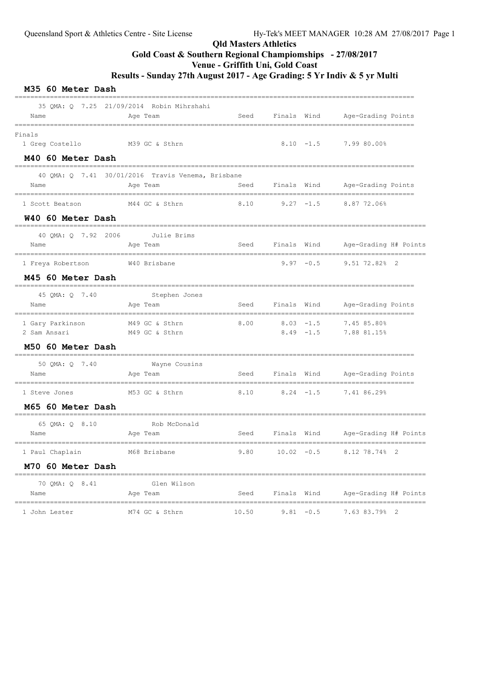# Qld Masters Athletics

# Gold Coast & Southern Regional Champiomships - 27/08/2017

Venue - Griffith Uni, Gold Coast

Results - Sunday 27th August 2017 - Age Grading: 5 Yr Indiv & 5 yr Multi

| Name                                           | 35 QMA: Q 7.25 21/09/2014 Robin Mihrshahi<br>Age Team                  | Seed  | Finals Wind      |              | Age-Grading Points                                |
|------------------------------------------------|------------------------------------------------------------------------|-------|------------------|--------------|---------------------------------------------------|
| ===============<br>Finals<br>1 Greg Costello   | ========================<br>------------------------<br>M39 GC & Sthrn |       |                  | $8.10 - 1.5$ | ==================================<br>7.99 80.00% |
| M40 60 Meter Dash                              |                                                                        |       |                  |              |                                                   |
| Name                                           | 40 QMA: Q 7.41 30/01/2016 Travis Venema, Brisbane<br>Age Team          | Seed  | Finals Wind      |              | Age-Grading Points                                |
| 1 Scott Beatson                                | M44 GC & Sthrn                                                         | 8.10  | $9.27 - 1.5$     |              | 8.87 72.06%                                       |
| W40 60 Meter Dash                              |                                                                        |       |                  |              |                                                   |
| 40 QMA: Q 7.92 2006                            | Julie Brims                                                            |       |                  |              |                                                   |
| Name                                           | Age Team                                                               | Seed  | Finals Wind      |              | Age-Grading H# Points                             |
| 1 Freya Robertson                              | W40 Brisbane                                                           |       | $9.97 - 0.5$     |              | $9.51$ $72.82$ 2                                  |
| M45 60 Meter Dash                              |                                                                        |       |                  |              |                                                   |
| 45 QMA: Q 7.40                                 | Stephen Jones                                                          |       |                  |              |                                                   |
| Name                                           | Age Team                                                               | Seed  | Finals Wind      |              | Age-Grading Points                                |
| --------------------------<br>1 Gary Parkinson | M49 GC & Sthrn                                                         | 8.00  | $8.03 - 1.5$     |              | 7.45 85.80%                                       |
| 2 Sam Ansari                                   | M49 GC & Sthrn                                                         |       | $8.49 - 1.5$     |              | 7.88 81.15%                                       |
| M50 60 Meter Dash                              |                                                                        |       |                  |              |                                                   |
| 50 QMA: Q 7.40                                 | Wayne Cousins                                                          |       |                  |              |                                                   |
| Name                                           | Age Team                                                               | Seed  | Finals Wind      |              | Age-Grading Points                                |
| 1 Steve Jones                                  | M53 GC & Sthrn                                                         | 8.10  | $8.24 -1.5$      |              | 7.41 86.29%                                       |
| M65 60 Meter Dash                              |                                                                        |       |                  |              |                                                   |
| 65 QMA: Q 8.10                                 | Rob McDonald                                                           |       |                  |              |                                                   |
| Name                                           | Age Team                                                               |       | Seed Finals Wind |              | Age-Grading H# Points                             |
| 1 Paul Chaplain                                | M68 Brisbane                                                           | 9.80  | $10.02 - 0.5$    |              | 8.12 78.74% 2                                     |
| M70 60 Meter Dash                              |                                                                        |       |                  |              |                                                   |
| 70 QMA: Q 8.41                                 | ____________________<br>Glen Wilson                                    |       |                  |              |                                                   |
| Name                                           | Age Team                                                               | Seed  | Finals Wind      |              | Age-Grading H# Points                             |
| 1 John Lester                                  | M74 GC & Sthrn                                                         | 10.50 | $9.81 - 0.5$     |              | 7.63 83.79% 2                                     |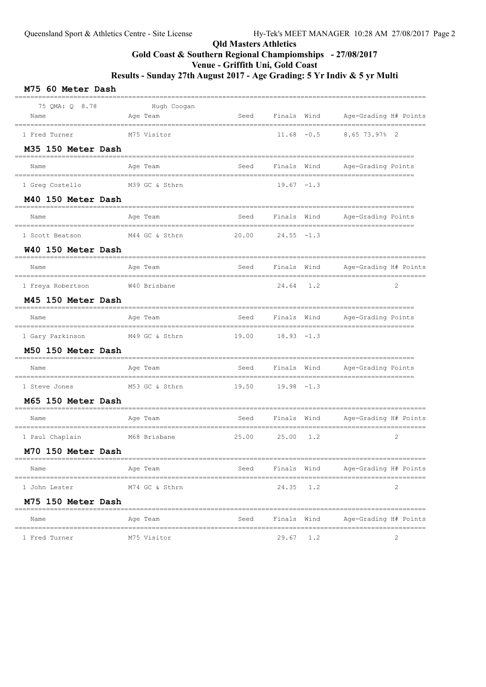## Qld Masters Athletics Gold Coast & Southern Regional Champiomships - 27/08/2017 Venue - Griffith Uni, Gold Coast Results - Sunday 27th August 2017 - Age Grading: 5 Yr Indiv & 5 yr Multi

## M75 60 Meter Dash ========================================================================================================= 75 QMA: Q 8.78 Hugh Coogan<br>ame Age Team Name Age Team Seed Finals Wind Age-Grading H# Points ========================================================================================================= 1 Fred Turner M75 Visitor 11.68 -0.5 8.65 73.97% 2 M35 150 Meter Dash ====================================================================================================== Name Age Team Seed Finals Wind Age-Grading Points ====================================================================================================== 1 Greq Costello M39 GC & Sthrn 19.67 -1.3 M40 150 Meter Dash ====================================================================================================== Name **Age Team** Age Team Seed Finals Wind Age-Grading Points ====================================================================================================== 1 Scott Beatson M44 GC & Sthrn 20.00 24.55 -1.3 W40 150 Meter Dash ========================================================================================================= Name Age Team Seed Finals Wind Age-Grading H# Points ========================================================================================================= 1 Freya Robertson W40 Brisbane 24.64 1.2 2 M45 150 Meter Dash ====================================================================================================== Name and Age Team and Seed Finals Wind Age-Grading Points ====================================================================================================== 1 Gary Parkinson M49 GC & Sthrn 19.00 18.93 -1.3 M50 150 Meter Dash ====================================================================================================== Name Age Team Seed Finals Wind Age-Grading Points ====================================================================================================== 1 Steve Jones M53 GC & Sthrn 19.50 19.98 -1.3 M65 150 Meter Dash ========================================================================================================= Name Age Team Seed Finals Wind Age-Grading H# Points ========================================================================================================= 1 Paul Chaplain M68 Brisbane 25.00 25.00 1.2 2 M70 150 Meter Dash ========================================================================================================= Name Age Team Seed Finals Wind Age-Grading H# Points ========================================================================================================= 1 John Lester M74 GC & Sthrn 24.35 1.2 2 M75 150 Meter Dash ========================================================================================================= Name Age Team Seed Finals Wind Age-Grading H# Points ========================================================================================================= 1 Fred Turner 1 20.67 1.2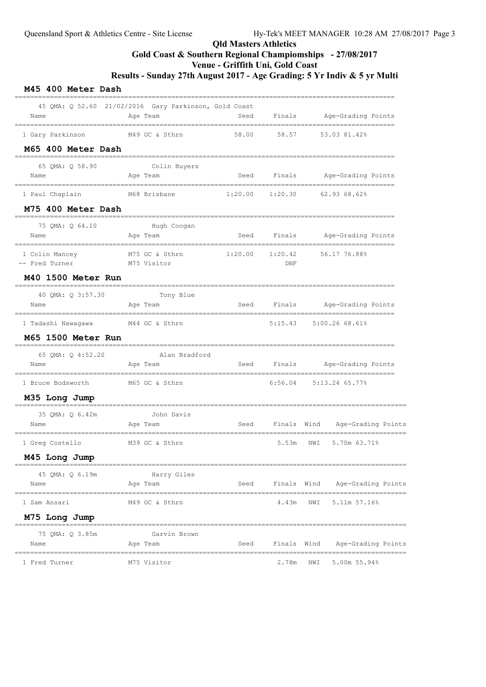## Qld Masters Athletics Gold Coast & Southern Regional Champiomships - 27/08/2017 Venue - Griffith Uni, Gold Coast

Results - Sunday 27th August 2017 - Age Grading: 5 Yr Indiv & 5 yr Multi

| M45 400 Meter Dash                                       |                                                                   |                                  |                |                              |                                |  |
|----------------------------------------------------------|-------------------------------------------------------------------|----------------------------------|----------------|------------------------------|--------------------------------|--|
| Name                                                     | 45 QMA: Q 52.60 21/02/2016 Gary Parkinson, Gold Coast<br>Age Team | Seed                             |                |                              | Finals Age-Grading Points      |  |
| 1 Gary Parkinson                                         | M49 GC & Sthrn                                                    | 58.00                            | 58.57          |                              | 53.03 81.42%                   |  |
| M65 400 Meter Dash                                       | ----------------------------                                      |                                  |                |                              |                                |  |
| 65 QMA: Q 58.90<br>Name                                  | Colin Buyers<br>Age Team                                          |                                  |                |                              | Seed Finals Age-Grading Points |  |
| 1 Paul Chaplain                                          | M68 Brisbane                                                      | $1:20.00$ $1:20.30$ 62.93 68.62% |                |                              |                                |  |
| M75 400 Meter Dash                                       |                                                                   |                                  |                |                              |                                |  |
| 75 QMA: Q 64.10<br>Name                                  | ====================================<br>Hugh Coogan<br>Age Team   |                                  |                |                              | Seed Finals Age-Grading Points |  |
| ====================<br>1 Colin Mancey<br>-- Fred Turner | M75 GC & Sthrn<br>M75 Visitor                                     | 1:20.00                          | 1:20.42<br>DNF |                              | ==============<br>56.17 76.88% |  |
| M40 1500 Meter Run                                       |                                                                   |                                  |                |                              |                                |  |
| 40 QMA: Q 3:57.30<br>Name                                | Tony Blue<br>Age Team                                             |                                  |                |                              | Seed Finals Age-Grading Points |  |
| 1 Tadashi Nawagawa                                       | M44 GC & Sthrn                                                    |                                  |                |                              | 5:15.43 5:00.26 68.61%         |  |
| M65 1500 Meter Run                                       |                                                                   |                                  |                |                              |                                |  |
| 65 QMA: Q 4:52.20<br>Name                                | Alan Bradford<br>Age Team                                         |                                  |                |                              | Seed Finals Age-Grading Points |  |
| 1 Bruce Bodsworth                                        | M65 GC & Sthrn                                                    |                                  |                | $6:56.04$ $5:13.24$ $65.77%$ |                                |  |
| M35 Long Jump                                            |                                                                   |                                  |                |                              |                                |  |
| 35 QMA: Q 6.42m<br>Name                                  | -----------------<br>John Davis<br>Age Team                       | Seed                             | Finals Wind    |                              | Age-Grading Points             |  |
| 1 Greg Costello                                          | M39 GC & Sthrn                                                    |                                  | 5.53m          | NWI                          | 5.70m 63.71%                   |  |
| M45 Long Jump                                            |                                                                   |                                  |                |                              |                                |  |
| 45 QMA: Q 6.19m<br>Name                                  | Harry Giles<br>Age Team                                           | Seed                             | Finals Wind    |                              | Age-Grading Points             |  |
| 1 Sam Ansari                                             | M49 GC & Sthrn                                                    |                                  | 4.43m          | NWI                          | 5.11m 57.16%                   |  |
| M75 Long Jump                                            |                                                                   |                                  |                |                              |                                |  |
| 75 OMA: 0 3.85m<br>Name                                  | Garvin Brown<br>Age Team                                          | Seed                             | Finals Wind    |                              | Age-Grading Points             |  |
| 1 Fred Turner                                            | M75 Visitor                                                       |                                  | 2.78m          | NWI                          | 5.00m 55.94%                   |  |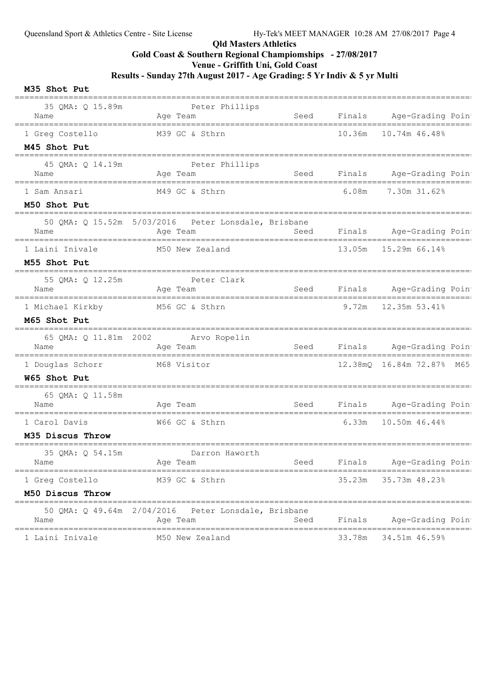### Qld Masters Athletics

Gold Coast & Southern Regional Champiomships - 27/08/2017

Venue - Griffith Uni, Gold Coast

Results - Sunday 27th August 2017 - Age Grading: 5 Yr Indiv & 5 yr Multi

#### M35 Shot Put

| 35 QMA: Q 15.89m<br>Name                            | Peter Phillips<br>Age Team                                       | Seed |        | Finals Age-Grading Poin                        |
|-----------------------------------------------------|------------------------------------------------------------------|------|--------|------------------------------------------------|
| 1 Greg Costello                                     | M39 GC & Sthrn                                                   |      | 10.36m | 10.74m 46.48%                                  |
| M45 Shot Put                                        |                                                                  |      |        |                                                |
| 45 QMA: Q 14.19m                                    | Peter Phillips                                                   |      |        |                                                |
| Name                                                | Age Team                                                         | Seed |        | Finals Age-Grading Poin                        |
| 1 Sam Ansari                                        | M49 GC & Sthrn                                                   |      | 6.08m  | 7.30m 31.62%                                   |
| M50 Shot Put                                        |                                                                  |      |        |                                                |
| Name                                                | 50 QMA: Q 15.52m 5/03/2016  Peter Lonsdale, Brisbane<br>Age Team | Seed | Finals | Age-Grading Poin                               |
|                                                     |                                                                  |      |        |                                                |
| 1 Laini Inivale                                     | M50 New Zealand                                                  |      |        | 13.05m  15.29m  66.14%                         |
| M55 Shot Put                                        |                                                                  |      |        |                                                |
| 55 QMA: Q 12.25m<br>Name                            | Peter Clark<br>Aqe Team                                          | Seed | Finals | Age-Grading Poin<br>=========================  |
| 1 Michael Kirkby                                    | M56 GC & Sthrn                                                   |      | 9.72m  | 12.35m 53.41%                                  |
| M65 Shot Put                                        |                                                                  |      |        |                                                |
| Name                                                | 65 QMA: Q 11.81m 2002 Arvo Ropelin<br>Age Team                   | Seed |        | Finals Age-Grading Poin                        |
| 1 Douglas Schorr                                    | M68 Visitor                                                      |      |        | ==============<br>12.38mQ  16.84m  72.87%  M65 |
| W65 Shot Put                                        |                                                                  |      |        |                                                |
| 65 QMA: Q 11.58m<br>Name                            | Age Team                                                         | Seed |        | Finals Age-Grading Poin                        |
| __________________________________<br>1 Carol Davis | W66 GC & Sthrn                                                   |      | 6.33m  | 10.50m 46.44%                                  |
| M35 Discus Throw                                    |                                                                  |      |        |                                                |
| 35 QMA: Q 54.15m<br>Name                            | Darron Haworth<br>Age Team                                       | Seed | Finals | Age-Grading Poin                               |
| 1 Greg Costello                                     | M39 GC & Sthrn                                                   |      | 35.23m | 35.73m 48.23%                                  |
| M50 Discus Throw                                    |                                                                  |      |        |                                                |
| 50 QMA: Q 49.64m 2/04/2016<br>Name                  | Peter Lonsdale, Brisbane<br>Age Team                             | Seed | Finals | Age-Grading Poin                               |
| 1 Laini Inivale                                     | M50 New Zealand                                                  |      | 33.78m | 34.51m 46.59%                                  |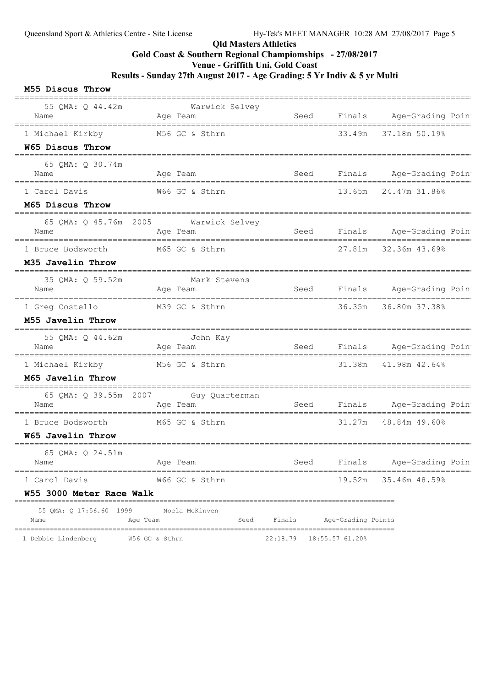### Qld Masters Athletics

Gold Coast & Southern Regional Champiomships - 27/08/2017

Venue - Griffith Uni, Gold Coast

Results - Sunday 27th August 2017 - Age Grading: 5 Yr Indiv & 5 yr Multi

#### M55 Discus Throw

| 55 QMA: Q 44.42m                                                | Warwick Selvey                                   |             |                    |                                           |
|-----------------------------------------------------------------|--------------------------------------------------|-------------|--------------------|-------------------------------------------|
| Name                                                            | Aqe Team                                         | Seed        |                    | Finals Age-Grading Poin                   |
| 1 Michael Kirkby                                                | M56 GC & Sthrn                                   |             | 33.49m             | 37.18m 50.19%                             |
| W65 Discus Throw                                                |                                                  |             |                    |                                           |
| 65 QMA: Q 30.74m                                                |                                                  |             |                    |                                           |
| Name                                                            | Age Team                                         | Seed        |                    | Finals Age-Grading Poin                   |
| 1 Carol Davis                                                   | W66 GC & Sthrn                                   |             |                    | 13.65m 24.47m 31.86%                      |
| M65 Discus Throw                                                |                                                  |             |                    |                                           |
| Name                                                            | 65 QMA: Q 45.76m 2005 Warwick Selvey<br>Age Team | <b>Seed</b> |                    | Finals Age-Grading Poin                   |
| 1 Bruce Bodsworth M65 GC & Sthrn                                |                                                  |             |                    | 27.81m 32.36m 43.69%                      |
| M35 Javelin Throw<br>-----------------                          |                                                  |             |                    |                                           |
| 35 QMA: Q 59.52m<br>Name                                        | Mark Stevens<br>Aqe Team                         |             |                    | Seed Finals Age-Grading Poin              |
| 1 Greg Costello M39 GC & Sthrn                                  |                                                  |             |                    | 36.35m 36.80m 37.38%                      |
| M55 Javelin Throw                                               |                                                  |             |                    |                                           |
| 55 QMA: Q 44.62m<br>Name                                        | John Kay<br>Age Team                             | Seed        |                    | Finals Age-Grading Poin                   |
| 1 Michael Kirkby                                                | M56 GC & Sthrn                                   |             |                    | 31.38m 41.98m 42.64%                      |
| M65 Javelin Throw                                               |                                                  |             |                    |                                           |
| Name                                                            | 65 QMA: Q 39.55m 2007 Guy Quarterman<br>Age Team | Seed        |                    | Finals Age-Grading Poin                   |
| 1 Bruce Bodsworth                                               | M65 GC & Sthrn                                   |             | 31.27m             | 48.84m 49.60%                             |
| W65 Javelin Throw                                               |                                                  |             |                    |                                           |
| 65 QMA: Q 24.51m<br>Name                                        | Age Team                                         | Seed        | Finals             | Age-Grading Poin                          |
| 1 Carol Davis                                                   | W66 GC & Sthrn                                   |             | 19.52m             | ========================<br>35.46m 48.59% |
| W55 3000 Meter Race Walk<br>----------------------------------- |                                                  |             |                    |                                           |
| 55 QMA: Q 17:56.60 1999<br>Name<br>Age Team                     | Noela McKinven<br>Seed                           | Finals      | Age-Grading Points |                                           |

1 Debbie Lindenberg W56 GC & Sthrn 22:18.79 18:55.57 61.20%